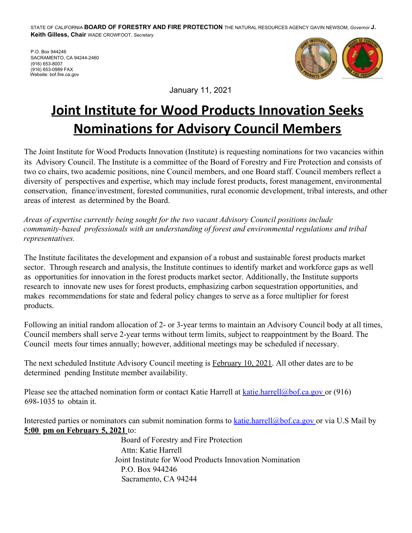STATE OF CALIFORNIA **BOARD OF FORESTRY AND FIRE PROTECTION** THE NATURAL RESOURCES AGENCY GAVIN NEWSOM, *Governor* **J. Keith Gilless, Chair** WADE CROWFOOT, *Secretary* 

 P.O. Box 944246 SACRAMENTO, CA 94244-2460 (916) 653-0989 FAX (916) 653-8007 Website: bof.fire.ca.gov



January 11, 2021

## **Joint Institute for Wood Products Innovation Seeks Nominations for Advisory Council Members**

The Joint Institute for Wood Products Innovation (Institute) is requesting nominations for two vacancies within its Advisory Council. The Institute is a committee of the Board of Forestry and Fire Protection and consists of two co chairs, two academic positions, nine Council members, and one Board staff. Council members reflect a diversity of perspectives and expertise, which may include forest products, forest management, environmental conservation, finance/investment, forested communities, rural economic development, tribal interests, and other areas of interest as determined by the Board.

*Areas of expertise currently being sought for the two vacant Advisory Council positions include community-based professionals with an understanding of forest and environmental regulations and tribal representatives.* 

The Institute facilitates the development and expansion of a robust and sustainable forest products market sector. Through research and analysis, the Institute continues to identify market and workforce gaps as well as opportunities for innovation in the forest products market sector. Additionally, the Institute supports research to innovate new uses for forest products, emphasizing carbon sequestration opportunities, and makes recommendations for state and federal policy changes to serve as a force multiplier for forest products.

Following an initial random allocation of 2- or 3-year terms to maintain an Advisory Council body at all times, Council members shall serve 2-year terms without term limits, subject to reappointment by the Board. The Council meets four times annually; however, additional meetings may be scheduled if necessary.

The next scheduled Institute Advisory Council meeting is February 10, 2021. All other dates are to be determined pending Institute member availability.

Please see the attached nomination form or contact Katie Harrell at katie.harrell@bof.ca.gov or (916) 698-1035 to obtain it.

Interested parties or nominators can submit nomination forms to **katie.harrell@bof.ca.gov** or via U.S Mail by **5:00 pm on February 5, 2021** to:

> Board of Forestry and Fire Protection Attn: Katie Harrell Joint Institute for Wood Products Innovation Nomination P.O. Box 944246 Sacramento, CA 94244